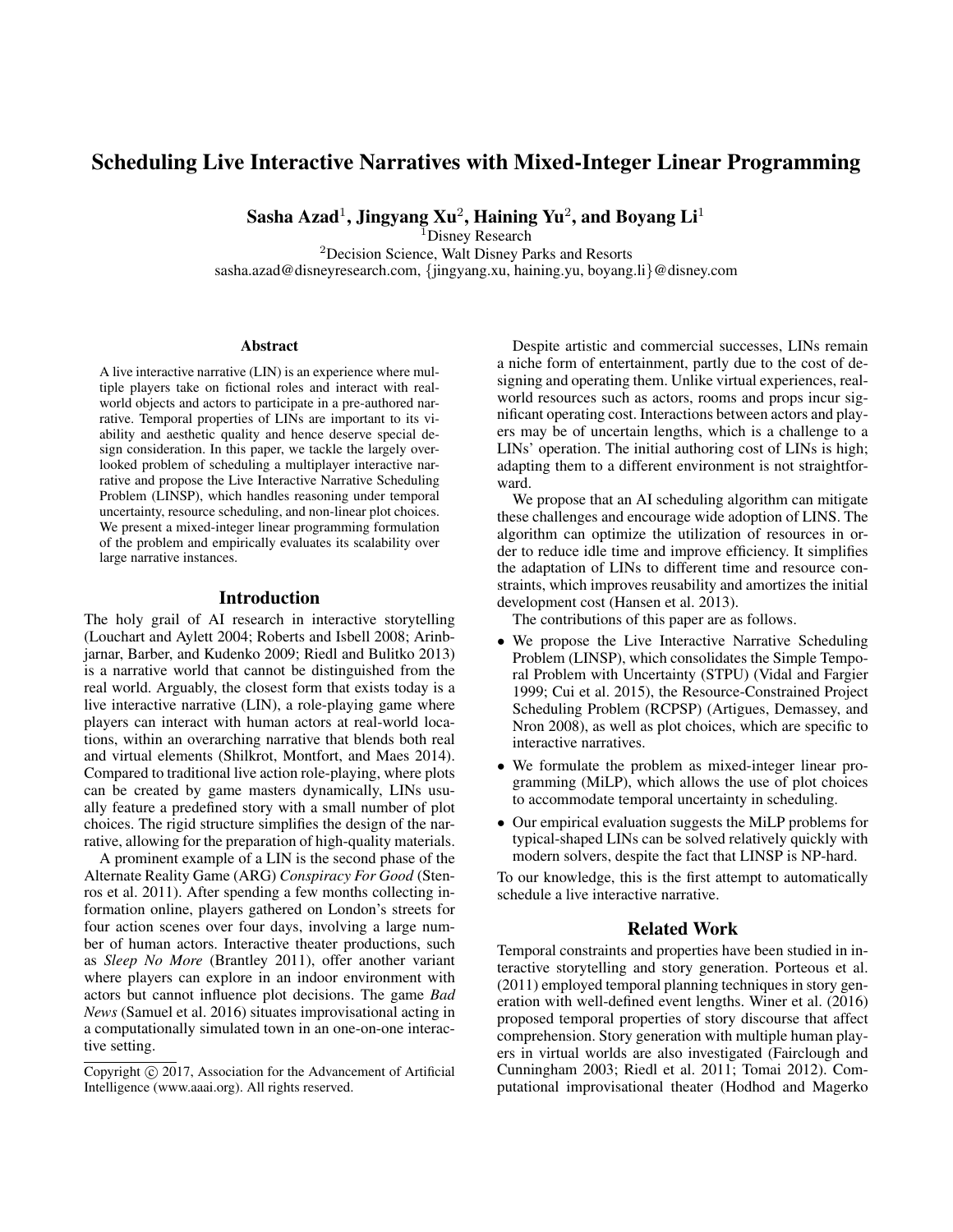# Scheduling Live Interactive Narratives with Mixed-Integer Linear Programming

Sasha Azad $^1$ , Jingyang Xu $^2$ , Haining Yu $^2$ , and Boyang Li $^1$ 

<sup>1</sup>Disney Research <sup>2</sup>Decision Science, Walt Disney Parks and Resorts sasha.azad@disneyresearch.com, {jingyang.xu, haining.yu, boyang.li}@disney.com

#### **Abstract**

A live interactive narrative (LIN) is an experience where multiple players take on fictional roles and interact with realworld objects and actors to participate in a pre-authored narrative. Temporal properties of LINs are important to its viability and aesthetic quality and hence deserve special design consideration. In this paper, we tackle the largely overlooked problem of scheduling a multiplayer interactive narrative and propose the Live Interactive Narrative Scheduling Problem (LINSP), which handles reasoning under temporal uncertainty, resource scheduling, and non-linear plot choices. We present a mixed-integer linear programming formulation of the problem and empirically evaluates its scalability over large narrative instances.

## Introduction

The holy grail of AI research in interactive storytelling (Louchart and Aylett 2004; Roberts and Isbell 2008; Arinbjarnar, Barber, and Kudenko 2009; Riedl and Bulitko 2013) is a narrative world that cannot be distinguished from the real world. Arguably, the closest form that exists today is a live interactive narrative (LIN), a role-playing game where players can interact with human actors at real-world locations, within an overarching narrative that blends both real and virtual elements (Shilkrot, Montfort, and Maes 2014). Compared to traditional live action role-playing, where plots can be created by game masters dynamically, LINs usually feature a predefined story with a small number of plot choices. The rigid structure simplifies the design of the narrative, allowing for the preparation of high-quality materials.

A prominent example of a LIN is the second phase of the Alternate Reality Game (ARG) *Conspiracy For Good* (Stenros et al. 2011). After spending a few months collecting information online, players gathered on London's streets for four action scenes over four days, involving a large number of human actors. Interactive theater productions, such as *Sleep No More* (Brantley 2011), offer another variant where players can explore in an indoor environment with actors but cannot influence plot decisions. The game *Bad News* (Samuel et al. 2016) situates improvisational acting in a computationally simulated town in an one-on-one interactive setting.

Despite artistic and commercial successes, LINs remain a niche form of entertainment, partly due to the cost of designing and operating them. Unlike virtual experiences, realworld resources such as actors, rooms and props incur significant operating cost. Interactions between actors and players may be of uncertain lengths, which is a challenge to a LINs' operation. The initial authoring cost of LINs is high; adapting them to a different environment is not straightforward.

We propose that an AI scheduling algorithm can mitigate these challenges and encourage wide adoption of LINS. The algorithm can optimize the utilization of resources in order to reduce idle time and improve efficiency. It simplifies the adaptation of LINs to different time and resource constraints, which improves reusability and amortizes the initial development cost (Hansen et al. 2013).

The contributions of this paper are as follows.

- We propose the Live Interactive Narrative Scheduling Problem (LINSP), which consolidates the Simple Temporal Problem with Uncertainty (STPU) (Vidal and Fargier 1999; Cui et al. 2015), the Resource-Constrained Project Scheduling Problem (RCPSP) (Artigues, Demassey, and Nron 2008), as well as plot choices, which are specific to interactive narratives.
- We formulate the problem as mixed-integer linear programming (MiLP), which allows the use of plot choices to accommodate temporal uncertainty in scheduling.
- Our empirical evaluation suggests the MiLP problems for typical-shaped LINs can be solved relatively quickly with modern solvers, despite the fact that LINSP is NP-hard.

To our knowledge, this is the first attempt to automatically schedule a live interactive narrative.

## Related Work

Temporal constraints and properties have been studied in interactive storytelling and story generation. Porteous et al. (2011) employed temporal planning techniques in story generation with well-defined event lengths. Winer et al. (2016) proposed temporal properties of story discourse that affect comprehension. Story generation with multiple human players in virtual worlds are also investigated (Fairclough and Cunningham 2003; Riedl et al. 2011; Tomai 2012). Computational improvisational theater (Hodhod and Magerko

Copyright (c) 2017, Association for the Advancement of Artificial Intelligence (www.aaai.org). All rights reserved.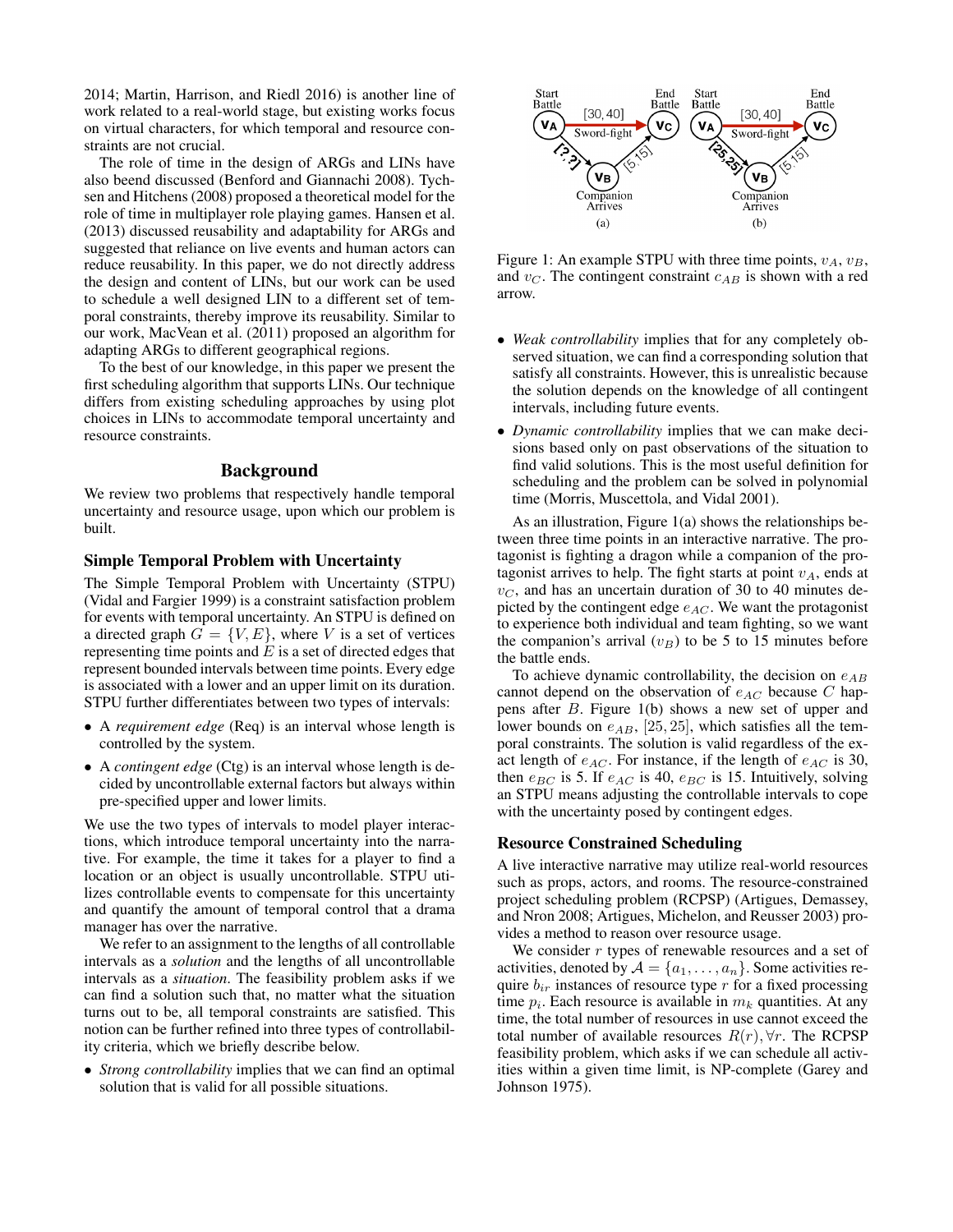2014; Martin, Harrison, and Riedl 2016) is another line of work related to a real-world stage, but existing works focus on virtual characters, for which temporal and resource constraints are not crucial.

The role of time in the design of ARGs and LINs have also beend discussed (Benford and Giannachi 2008). Tychsen and Hitchens (2008) proposed a theoretical model for the role of time in multiplayer role playing games. Hansen et al. (2013) discussed reusability and adaptability for ARGs and suggested that reliance on live events and human actors can reduce reusability. In this paper, we do not directly address the design and content of LINs, but our work can be used to schedule a well designed LIN to a different set of temporal constraints, thereby improve its reusability. Similar to our work, MacVean et al. (2011) proposed an algorithm for adapting ARGs to different geographical regions.

To the best of our knowledge, in this paper we present the first scheduling algorithm that supports LINs. Our technique differs from existing scheduling approaches by using plot choices in LINs to accommodate temporal uncertainty and resource constraints.

## Background

We review two problems that respectively handle temporal uncertainty and resource usage, upon which our problem is built.

#### Simple Temporal Problem with Uncertainty

The Simple Temporal Problem with Uncertainty (STPU) (Vidal and Fargier 1999) is a constraint satisfaction problem for events with temporal uncertainty. An STPU is defined on a directed graph  $G = \{V, E\}$ , where V is a set of vertices representing time points and  $E$  is a set of directed edges that represent bounded intervals between time points. Every edge is associated with a lower and an upper limit on its duration. STPU further differentiates between two types of intervals:

- A *requirement edge* (Req) is an interval whose length is controlled by the system.
- A *contingent edge* (Ctg) is an interval whose length is decided by uncontrollable external factors but always within pre-specified upper and lower limits.

We use the two types of intervals to model player interactions, which introduce temporal uncertainty into the narrative. For example, the time it takes for a player to find a location or an object is usually uncontrollable. STPU utilizes controllable events to compensate for this uncertainty and quantify the amount of temporal control that a drama manager has over the narrative.

We refer to an assignment to the lengths of all controllable intervals as a *solution* and the lengths of all uncontrollable intervals as a *situation*. The feasibility problem asks if we can find a solution such that, no matter what the situation turns out to be, all temporal constraints are satisfied. This notion can be further refined into three types of controllability criteria, which we briefly describe below.

• *Strong controllability* implies that we can find an optimal solution that is valid for all possible situations.



Figure 1: An example STPU with three time points,  $v_A$ ,  $v_B$ , and  $v_C$ . The contingent constraint  $c_{AB}$  is shown with a red arrow.

- *Weak controllability* implies that for any completely observed situation, we can find a corresponding solution that satisfy all constraints. However, this is unrealistic because the solution depends on the knowledge of all contingent intervals, including future events.
- *Dynamic controllability* implies that we can make decisions based only on past observations of the situation to find valid solutions. This is the most useful definition for scheduling and the problem can be solved in polynomial time (Morris, Muscettola, and Vidal 2001).

As an illustration, Figure 1(a) shows the relationships between three time points in an interactive narrative. The protagonist is fighting a dragon while a companion of the protagonist arrives to help. The fight starts at point  $v_A$ , ends at  $v<sub>C</sub>$ , and has an uncertain duration of 30 to 40 minutes depicted by the contingent edge  $e_{AC}$ . We want the protagonist to experience both individual and team fighting, so we want the companion's arrival  $(v_B)$  to be 5 to 15 minutes before the battle ends.

To achieve dynamic controllability, the decision on  $e_{AB}$ cannot depend on the observation of  $e_{AC}$  because C happens after B. Figure 1(b) shows a new set of upper and lower bounds on  $e_{AB}$ , [25, 25], which satisfies all the temporal constraints. The solution is valid regardless of the exact length of  $e_{AC}$ . For instance, if the length of  $e_{AC}$  is 30, then  $e_{BC}$  is 5. If  $e_{AC}$  is 40,  $e_{BC}$  is 15. Intuitively, solving an STPU means adjusting the controllable intervals to cope with the uncertainty posed by contingent edges.

#### Resource Constrained Scheduling

A live interactive narrative may utilize real-world resources such as props, actors, and rooms. The resource-constrained project scheduling problem (RCPSP) (Artigues, Demassey, and Nron 2008; Artigues, Michelon, and Reusser 2003) provides a method to reason over resource usage.

We consider  $r$  types of renewable resources and a set of activities, denoted by  $A = \{a_1, \ldots, a_n\}$ . Some activities require  $b_{ir}$  instances of resource type r for a fixed processing time  $p_i$ . Each resource is available in  $m_k$  quantities. At any time, the total number of resources in use cannot exceed the total number of available resources  $R(r)$ ,  $\forall r$ . The RCPSP feasibility problem, which asks if we can schedule all activities within a given time limit, is NP-complete (Garey and Johnson 1975).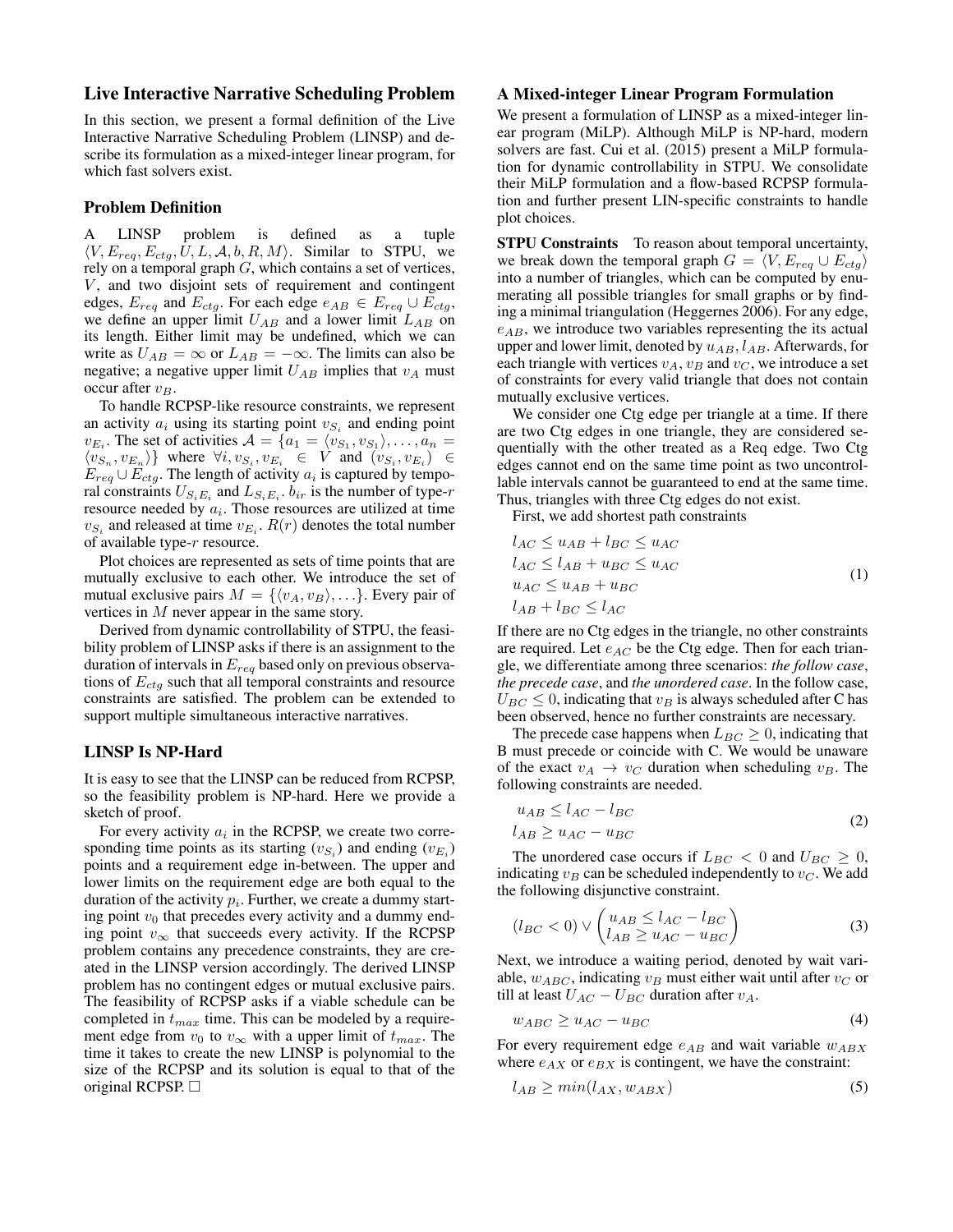# Live Interactive Narrative Scheduling Problem

In this section, we present a formal definition of the Live Interactive Narrative Scheduling Problem (LINSP) and describe its formulation as a mixed-integer linear program, for which fast solvers exist.

#### Problem Definition

LINSP problem is defined as a tuple  $\langle V, E_{rea}, E_{cta}, U, L, A, b, R, M \rangle$ . Similar to STPU, we rely on a temporal graph  $G$ , which contains a set of vertices,  $V$ , and two disjoint sets of requirement and contingent edges,  $E_{req}$  and  $E_{ctg}$ . For each edge  $e_{AB} \in E_{req} \cup E_{ctg}$ , we define an upper limit  $U_{AB}$  and a lower limit  $L_{AB}$  on its length. Either limit may be undefined, which we can write as  $U_{AB} = \infty$  or  $L_{AB} = -\infty$ . The limits can also be negative; a negative upper limit  $U_{AB}$  implies that  $v_A$  must occur after  $v_B$ .

To handle RCPSP-like resource constraints, we represent an activity  $a_i$  using its starting point  $v_{S_i}$  and ending point  $v_{E_i}$ . The set of activities  $\mathcal{A} = \{a_1 = \langle v_{S_1}, v_{S_1} \rangle, \dots, a_n =$  $\langle v_{S_n}, v_{E_n} \rangle$  where  $\forall i, v_{S_i}, v_{E_i} \in V$  and  $(v_{S_i}, v_{E_i}) \in$  $E_{req} \cup E_{ctg}$ . The length of activity  $a_i$  is captured by temporal constraints  $U_{S_iE_i}$  and  $L_{S_iE_i}$ .  $b_{ir}$  is the number of type-r resource needed by  $a_i$ . Those resources are utilized at time  $v_{S_i}$  and released at time  $v_{E_i}$ .  $R(r)$  denotes the total number of available type-r resource.

Plot choices are represented as sets of time points that are mutually exclusive to each other. We introduce the set of mutual exclusive pairs  $M = \{ \langle v_A, v_B \rangle, \ldots \}$ . Every pair of vertices in M never appear in the same story.

Derived from dynamic controllability of STPU, the feasibility problem of LINSP asks if there is an assignment to the duration of intervals in  $E_{req}$  based only on previous observations of  $E_{ctg}$  such that all temporal constraints and resource constraints are satisfied. The problem can be extended to support multiple simultaneous interactive narratives.

# LINSP Is NP-Hard

It is easy to see that the LINSP can be reduced from RCPSP, so the feasibility problem is NP-hard. Here we provide a sketch of proof.

For every activity  $a_i$  in the RCPSP, we create two corresponding time points as its starting  $(v_{S_i})$  and ending  $(v_{E_i})$ points and a requirement edge in-between. The upper and lower limits on the requirement edge are both equal to the duration of the activity  $p_i$ . Further, we create a dummy starting point  $v_0$  that precedes every activity and a dummy ending point  $v_{\infty}$  that succeeds every activity. If the RCPSP problem contains any precedence constraints, they are created in the LINSP version accordingly. The derived LINSP problem has no contingent edges or mutual exclusive pairs. The feasibility of RCPSP asks if a viable schedule can be completed in  $t_{max}$  time. This can be modeled by a requirement edge from  $v_0$  to  $v_{\infty}$  with a upper limit of  $t_{max}$ . The time it takes to create the new LINSP is polynomial to the size of the RCPSP and its solution is equal to that of the original RCPSP.  $\Box$ 

#### A Mixed-integer Linear Program Formulation

We present a formulation of LINSP as a mixed-integer linear program (MiLP). Although MiLP is NP-hard, modern solvers are fast. Cui et al. (2015) present a MiLP formulation for dynamic controllability in STPU. We consolidate their MiLP formulation and a flow-based RCPSP formulation and further present LIN-specific constraints to handle plot choices.

STPU Constraints To reason about temporal uncertainty, we break down the temporal graph  $G = \langle V, E_{reg} \cup E_{ctg} \rangle$ into a number of triangles, which can be computed by enumerating all possible triangles for small graphs or by finding a minimal triangulation (Heggernes 2006). For any edge,  $e_{AB}$ , we introduce two variables representing the its actual upper and lower limit, denoted by  $u_{AB}$ ,  $l_{AB}$ . Afterwards, for each triangle with vertices  $v_A$ ,  $v_B$  and  $v_C$ , we introduce a set of constraints for every valid triangle that does not contain mutually exclusive vertices.

We consider one Ctg edge per triangle at a time. If there are two Ctg edges in one triangle, they are considered sequentially with the other treated as a Req edge. Two Ctg edges cannot end on the same time point as two uncontrollable intervals cannot be guaranteed to end at the same time. Thus, triangles with three Ctg edges do not exist.

First, we add shortest path constraints

$$
l_{AC} \le u_{AB} + l_{BC} \le u_{AC}
$$
  
\n
$$
l_{AC} \le l_{AB} + u_{BC} \le u_{AC}
$$
  
\n
$$
u_{AC} \le u_{AB} + u_{BC}
$$
  
\n
$$
l_{AB} + l_{BC} \le l_{AC}
$$
\n(1)

If there are no Ctg edges in the triangle, no other constraints are required. Let  $e_{AC}$  be the Ctg edge. Then for each triangle, we differentiate among three scenarios: *the follow case*, *the precede case*, and *the unordered case*. In the follow case,  $U_{BC} \leq 0$ , indicating that  $v_B$  is always scheduled after C has been observed, hence no further constraints are necessary.

The precede case happens when  $L_{BC} \geq 0$ , indicating that B must precede or coincide with C. We would be unaware of the exact  $v_A \rightarrow v_C$  duration when scheduling  $v_B$ . The following constraints are needed.

$$
u_{AB} \le l_{AC} - l_{BC}
$$
  
\n
$$
l_{AB} \ge u_{AC} - u_{BC}
$$
\n(2)

The unordered case occurs if  $L_{BC} < 0$  and  $U_{BC} \ge 0$ , indicating  $v_B$  can be scheduled independently to  $v_C$ . We add the following disjunctive constraint.

$$
(l_{BC} < 0) \vee \begin{pmatrix} u_{AB} \le l_{AC} - l_{BC} \\ l_{AB} \ge u_{AC} - u_{BC} \end{pmatrix} \tag{3}
$$

Next, we introduce a waiting period, denoted by wait variable,  $w_{ABC}$ , indicating  $v_B$  must either wait until after  $v_C$  or till at least  $U_{AC} - U_{BC}$  duration after  $v_A$ .

$$
w_{ABC} \ge u_{AC} - u_{BC} \tag{4}
$$

For every requirement edge  $e_{AB}$  and wait variable  $w_{ABX}$ where  $e_{AX}$  or  $e_{BX}$  is contingent, we have the constraint:

$$
l_{AB} \ge min(l_{AX}, w_{ABX}) \tag{5}
$$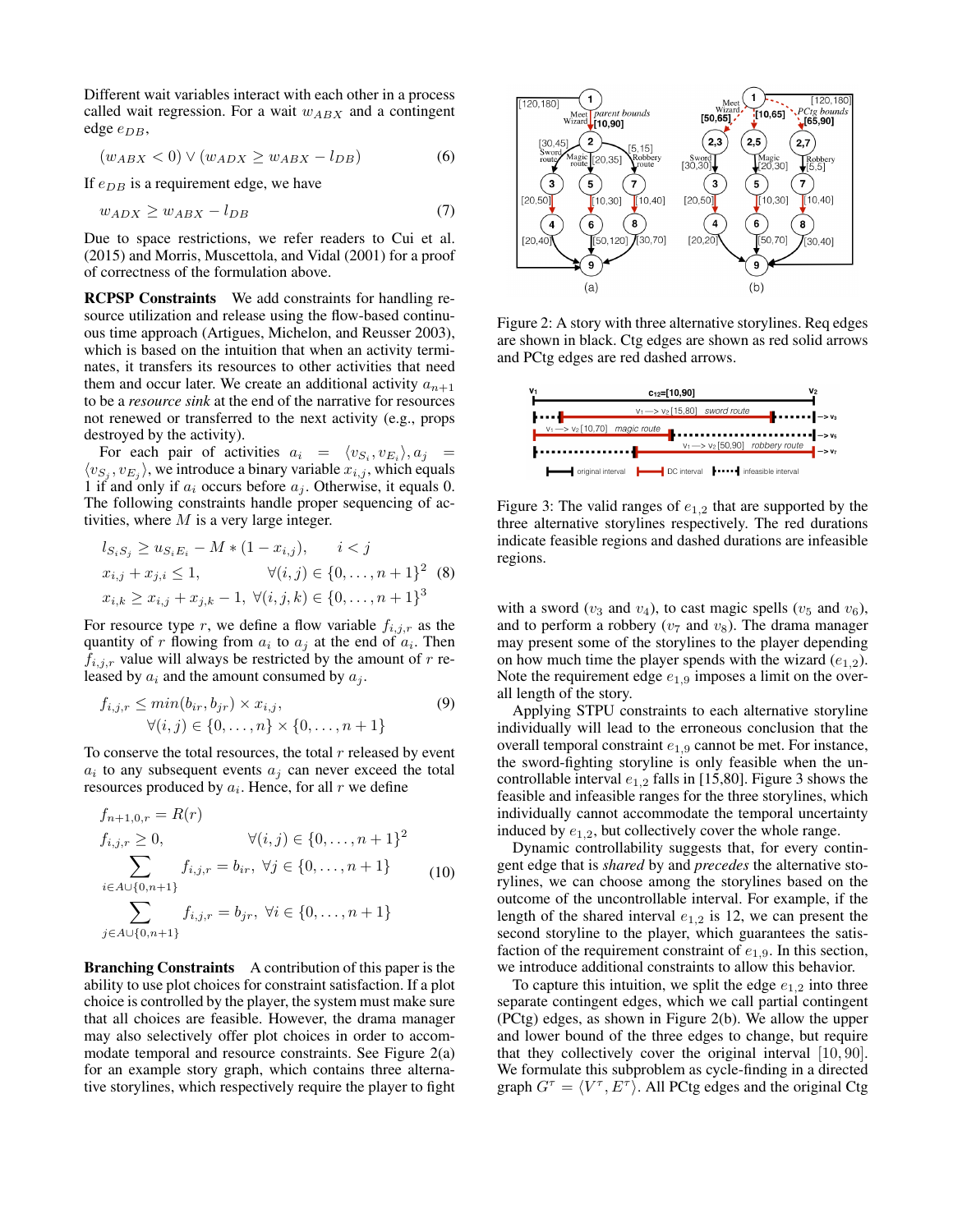Different wait variables interact with each other in a process called wait regression. For a wait  $w_{ABX}$  and a contingent edge  $e_{DB}$ ,

$$
(w_{ABX} < 0) \lor (w_{ADX} \ge w_{ABX} - l_{DB}) \tag{6}
$$

If  $e_{DB}$  is a requirement edge, we have

$$
w_{ADX} \ge w_{ABX} - l_{DB} \tag{7}
$$

Due to space restrictions, we refer readers to Cui et al. (2015) and Morris, Muscettola, and Vidal (2001) for a proof of correctness of the formulation above.

RCPSP Constraints We add constraints for handling resource utilization and release using the flow-based continuous time approach (Artigues, Michelon, and Reusser 2003), which is based on the intuition that when an activity terminates, it transfers its resources to other activities that need them and occur later. We create an additional activity  $a_{n+1}$ to be a *resource sink* at the end of the narrative for resources not renewed or transferred to the next activity (e.g., props destroyed by the activity).

For each pair of activities  $a_i = \langle v_{S_i}, v_{E_i} \rangle, a_j =$  $\langle v_{S_j}, v_{E_j} \rangle$ , we introduce a binary variable  $x_{i,j}$ , which equals 1 if and only if  $a_i$  occurs before  $a_j$ . Otherwise, it equals 0. The following constraints handle proper sequencing of activities, where  $M$  is a very large integer.

$$
l_{S_i S_j} \ge u_{S_i E_i} - M * (1 - x_{i,j}), \qquad i < j
$$
  
\n
$$
x_{i,j} + x_{j,i} \le 1, \qquad \forall (i,j) \in \{0, ..., n+1\}^2 \quad (8)
$$
  
\n
$$
x_{i,k} \ge x_{i,j} + x_{j,k} - 1, \ \forall (i,j,k) \in \{0, ..., n+1\}^3
$$

For resource type r, we define a flow variable  $f_{i,j,r}$  as the quantity of r flowing from  $a_i$  to  $a_j$  at the end of  $a_i$ . Then  $f_{i,j,r}$  value will always be restricted by the amount of r released by  $a_i$  and the amount consumed by  $a_j$ .

$$
f_{i,j,r} \leq \min(b_{ir}, b_{jr}) \times x_{i,j},
$$
  
\n
$$
\forall (i,j) \in \{0, ..., n\} \times \{0, ..., n+1\}
$$
 (9)

To conserve the total resources, the total  $r$  released by event  $a_i$  to any subsequent events  $a_j$  can never exceed the total resources produced by  $a_i$ . Hence, for all  $r$  we define

$$
f_{n+1,0,r} = R(r)
$$
  
\n
$$
f_{i,j,r} \ge 0, \qquad \forall (i,j) \in \{0,\dots,n+1\}^2
$$
  
\n
$$
\sum_{i \in A \cup \{0,n+1\}} f_{i,j,r} = b_{ir}, \forall j \in \{0,\dots,n+1\}
$$
  
\n
$$
\sum_{j \in A \cup \{0,n+1\}} f_{i,j,r} = b_{jr}, \forall i \in \{0,\dots,n+1\}
$$
  
\n(10)

Branching Constraints A contribution of this paper is the ability to use plot choices for constraint satisfaction. If a plot choice is controlled by the player, the system must make sure that all choices are feasible. However, the drama manager may also selectively offer plot choices in order to accommodate temporal and resource constraints. See Figure 2(a) for an example story graph, which contains three alternative storylines, which respectively require the player to fight



Figure 2: A story with three alternative storylines. Req edges are shown in black. Ctg edges are shown as red solid arrows and PCtg edges are red dashed arrows.



Figure 3: The valid ranges of  $e_{1,2}$  that are supported by the three alternative storylines respectively. The red durations indicate feasible regions and dashed durations are infeasible regions.

with a sword ( $v_3$  and  $v_4$ ), to cast magic spells ( $v_5$  and  $v_6$ ), and to perform a robbery ( $v_7$  and  $v_8$ ). The drama manager may present some of the storylines to the player depending on how much time the player spends with the wizard  $(e_{1,2})$ . Note the requirement edge  $e_{1,9}$  imposes a limit on the overall length of the story.

Applying STPU constraints to each alternative storyline individually will lead to the erroneous conclusion that the overall temporal constraint  $e_{1,9}$  cannot be met. For instance, the sword-fighting storyline is only feasible when the uncontrollable interval  $e_{1,2}$  falls in [15,80]. Figure 3 shows the feasible and infeasible ranges for the three storylines, which individually cannot accommodate the temporal uncertainty induced by  $e_{1,2}$ , but collectively cover the whole range.

Dynamic controllability suggests that, for every contingent edge that is *shared* by and *precedes* the alternative storylines, we can choose among the storylines based on the outcome of the uncontrollable interval. For example, if the length of the shared interval  $e_{1,2}$  is 12, we can present the second storyline to the player, which guarantees the satisfaction of the requirement constraint of  $e_{1,9}$ . In this section, we introduce additional constraints to allow this behavior.

To capture this intuition, we split the edge  $e_{1,2}$  into three separate contingent edges, which we call partial contingent (PCtg) edges, as shown in Figure 2(b). We allow the upper and lower bound of the three edges to change, but require that they collectively cover the original interval [10, 90]. We formulate this subproblem as cycle-finding in a directed graph  $G^{\tau} = \langle V^{\tau}, E^{\tau} \rangle$ . All PCtg edges and the original Ctg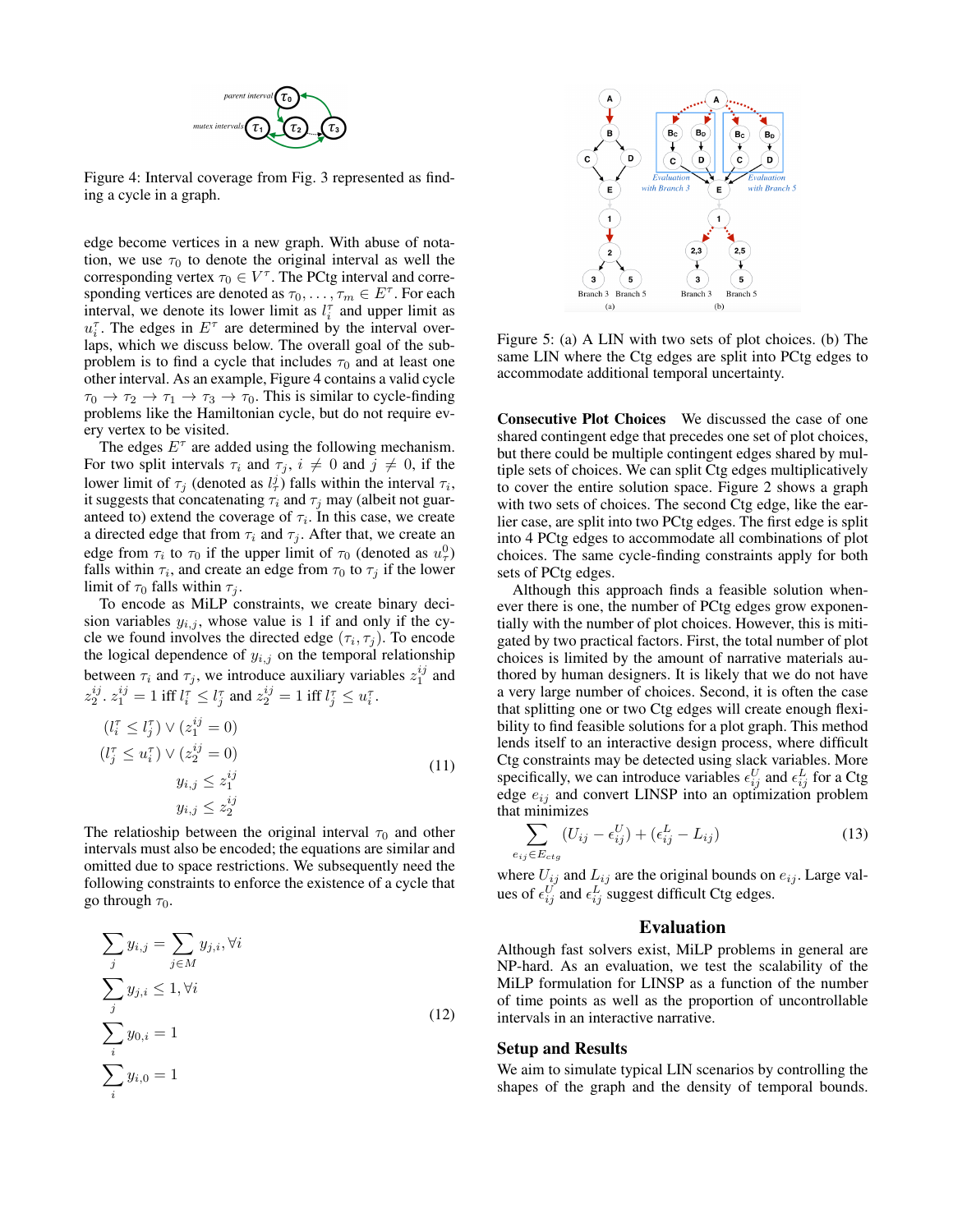

Figure 4: Interval coverage from Fig. 3 represented as finding a cycle in a graph.

edge become vertices in a new graph. With abuse of notation, we use  $\tau_0$  to denote the original interval as well the corresponding vertex  $\tau_0 \in V^{\tau}$ . The PCtg interval and corresponding vertices are denoted as  $\tau_0, \ldots, \tau_m \in E^{\tau}$ . For each interval, we denote its lower limit as  $l_i^{\tau}$  and upper limit as  $u_i^{\tau}$ . The edges in  $E^{\tau}$  are determined by the interval overlaps, which we discuss below. The overall goal of the subproblem is to find a cycle that includes  $\tau_0$  and at least one other interval. As an example, Figure 4 contains a valid cycle  $\tau_0 \to \tau_2 \to \tau_1 \to \tau_3 \to \tau_0$ . This is similar to cycle-finding problems like the Hamiltonian cycle, but do not require every vertex to be visited.

The edges  $E^{\tau}$  are added using the following mechanism. For two split intervals  $\tau_i$  and  $\tau_j$ ,  $i \neq 0$  and  $j \neq 0$ , if the lower limit of  $\tau_j$  (denoted as  $l^j_\tau$ ) falls within the interval  $\tau_i$ , it suggests that concatenating  $\tau_i$  and  $\tau_j$  may (albeit not guaranteed to) extend the coverage of  $\tau_i$ . In this case, we create a directed edge that from  $\tau_i$  and  $\tau_j$ . After that, we create an edge from  $\tau_i$  to  $\tau_0$  if the upper limit of  $\tau_0$  (denoted as  $u^0_\tau$ ) falls within  $\tau_i$ , and create an edge from  $\tau_0$  to  $\tau_j$  if the lower limit of  $\tau_0$  falls within  $\tau_i$ .

To encode as MiLP constraints, we create binary decision variables  $y_{i,j}$ , whose value is 1 if and only if the cycle we found involves the directed edge  $(\tau_i, \tau_j)$ . To encode the logical dependence of  $y_{i,j}$  on the temporal relationship between  $\tau_i$  and  $\tau_j$ , we introduce auxiliary variables  $z_1^{ij}$  and  $z_2^{ij}$ .  $z_1^{ij} = 1$  iff  $l_i^{\tau} \le l_j^{\tau}$  and  $z_2^{ij} = 1$  iff  $l_j^{\tau} \le u_i^{\tau}$ .

$$
(l_i^{\tau} \le l_j^{\tau}) \vee (z_1^{ij} = 0)
$$
  
\n
$$
(l_j^{\tau} \le u_i^{\tau}) \vee (z_2^{ij} = 0)
$$
  
\n
$$
y_{i,j} \le z_1^{ij}
$$
  
\n
$$
y_{i,j} \le z_2^{ij}
$$
  
\n(11)

The relatioship between the original interval  $\tau_0$  and other intervals must also be encoded; the equations are similar and omitted due to space restrictions. We subsequently need the following constraints to enforce the existence of a cycle that go through  $\tau_0$ .

$$
\sum_{j} y_{i,j} = \sum_{j \in M} y_{j,i}, \forall i
$$
  

$$
\sum_{j} y_{j,i} \leq 1, \forall i
$$
  

$$
\sum_{i} y_{0,i} = 1
$$
  

$$
\sum_{i} y_{i,0} = 1
$$
 (12)



Figure 5: (a) A LIN with two sets of plot choices. (b) The same LIN where the Ctg edges are split into PCtg edges to accommodate additional temporal uncertainty.

Consecutive Plot Choices We discussed the case of one shared contingent edge that precedes one set of plot choices, but there could be multiple contingent edges shared by multiple sets of choices. We can split Ctg edges multiplicatively to cover the entire solution space. Figure 2 shows a graph with two sets of choices. The second Ctg edge, like the earlier case, are split into two PCtg edges. The first edge is split into 4 PCtg edges to accommodate all combinations of plot choices. The same cycle-finding constraints apply for both sets of PCtg edges.

Although this approach finds a feasible solution whenever there is one, the number of PCtg edges grow exponentially with the number of plot choices. However, this is mitigated by two practical factors. First, the total number of plot choices is limited by the amount of narrative materials authored by human designers. It is likely that we do not have a very large number of choices. Second, it is often the case that splitting one or two Ctg edges will create enough flexibility to find feasible solutions for a plot graph. This method lends itself to an interactive design process, where difficult Ctg constraints may be detected using slack variables. More specifically, we can introduce variables  $\epsilon_{ij}^U$  and  $\epsilon_{ij}^L$  for a Ctg edge  $e_{ij}$  and convert LINSP into an optimization problem that minimizes

$$
\sum_{e_{ij} \in E_{ctg}} (U_{ij} - \epsilon_{ij}^U) + (\epsilon_{ij}^L - L_{ij})
$$
\n(13)

where  $U_{ij}$  and  $L_{ij}$  are the original bounds on  $e_{ij}$ . Large values of  $\epsilon_{ij}^U$  and  $\epsilon_{ij}^L$  suggest difficult Ctg edges.

## Evaluation

Although fast solvers exist, MiLP problems in general are NP-hard. As an evaluation, we test the scalability of the MiLP formulation for LINSP as a function of the number of time points as well as the proportion of uncontrollable intervals in an interactive narrative.

#### Setup and Results

We aim to simulate typical LIN scenarios by controlling the shapes of the graph and the density of temporal bounds.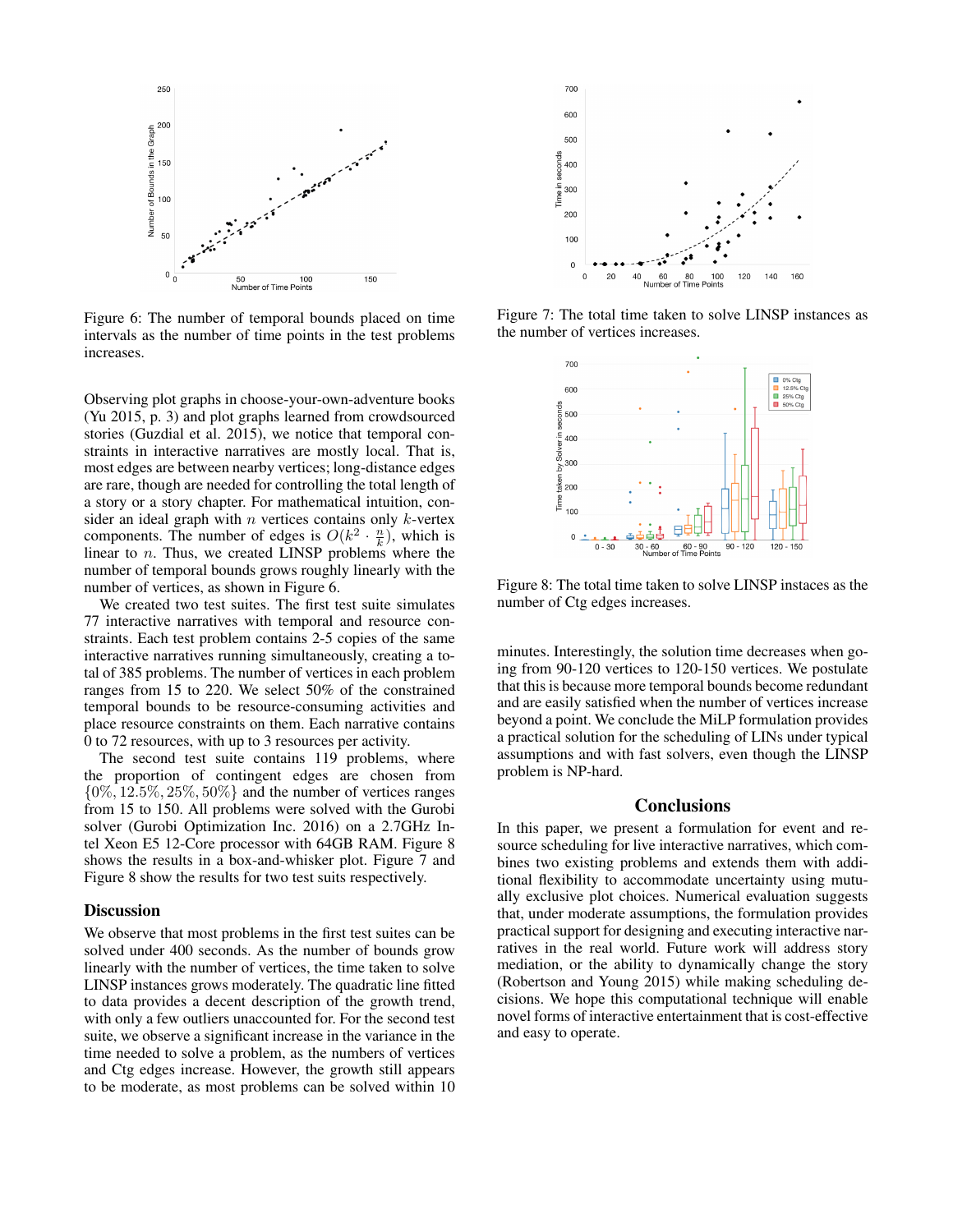

Figure 6: The number of temporal bounds placed on time intervals as the number of time points in the test problems increases.

Observing plot graphs in choose-your-own-adventure books (Yu 2015, p. 3) and plot graphs learned from crowdsourced stories (Guzdial et al. 2015), we notice that temporal constraints in interactive narratives are mostly local. That is, most edges are between nearby vertices; long-distance edges are rare, though are needed for controlling the total length of a story or a story chapter. For mathematical intuition, consider an ideal graph with  $n$  vertices contains only  $k$ -vertex components. The number of edges is  $O(k^2 \cdot \frac{n}{k})$ , which is linear to n. Thus, we created LINSP problems where the number of temporal bounds grows roughly linearly with the number of vertices, as shown in Figure 6.

We created two test suites. The first test suite simulates 77 interactive narratives with temporal and resource constraints. Each test problem contains 2-5 copies of the same interactive narratives running simultaneously, creating a total of 385 problems. The number of vertices in each problem ranges from 15 to 220. We select 50% of the constrained temporal bounds to be resource-consuming activities and place resource constraints on them. Each narrative contains 0 to 72 resources, with up to 3 resources per activity.

The second test suite contains 119 problems, where the proportion of contingent edges are chosen from  $\{0\%, 12.5\%, 25\%, 50\%\}$  and the number of vertices ranges from 15 to 150. All problems were solved with the Gurobi solver (Gurobi Optimization Inc. 2016) on a 2.7GHz Intel Xeon E5 12-Core processor with 64GB RAM. Figure 8 shows the results in a box-and-whisker plot. Figure 7 and Figure 8 show the results for two test suits respectively.

#### **Discussion**

We observe that most problems in the first test suites can be solved under 400 seconds. As the number of bounds grow linearly with the number of vertices, the time taken to solve LINSP instances grows moderately. The quadratic line fitted to data provides a decent description of the growth trend, with only a few outliers unaccounted for. For the second test suite, we observe a significant increase in the variance in the time needed to solve a problem, as the numbers of vertices and Ctg edges increase. However, the growth still appears to be moderate, as most problems can be solved within 10



Figure 7: The total time taken to solve LINSP instances as the number of vertices increases.



Figure 8: The total time taken to solve LINSP instaces as the number of Ctg edges increases.

minutes. Interestingly, the solution time decreases when going from 90-120 vertices to 120-150 vertices. We postulate that this is because more temporal bounds become redundant and are easily satisfied when the number of vertices increase beyond a point. We conclude the MiLP formulation provides a practical solution for the scheduling of LINs under typical assumptions and with fast solvers, even though the LINSP problem is NP-hard.

# **Conclusions**

In this paper, we present a formulation for event and resource scheduling for live interactive narratives, which combines two existing problems and extends them with additional flexibility to accommodate uncertainty using mutually exclusive plot choices. Numerical evaluation suggests that, under moderate assumptions, the formulation provides practical support for designing and executing interactive narratives in the real world. Future work will address story mediation, or the ability to dynamically change the story (Robertson and Young 2015) while making scheduling decisions. We hope this computational technique will enable novel forms of interactive entertainment that is cost-effective and easy to operate.